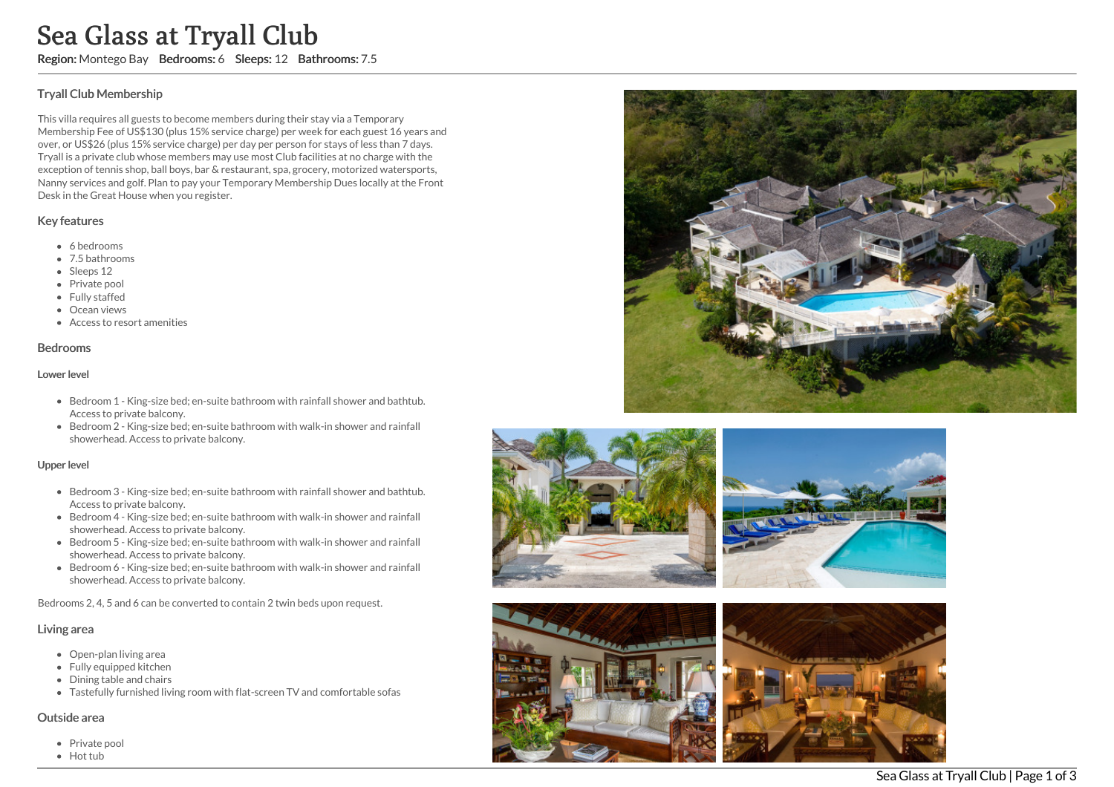## T ry all Clu b M e m b e r s hip

This villa requires all guests to become members during their stay via a Temporary Membership Fee of US\$130 (plus 15% service charge) per week for each guest 16 years and over, or US\$26 (plus 15% service charge) per day per person for stays of less than 7 days. Tryall is a private club whose members may use most Club facilities at no charge with the exception of tennis shop, ball boys, bar & restaurant, spa, grocery, motorized watersports, Nanny services and golf. Plan to pay your Temporary Membership Dues locally at the Fron t Desk in the Great House when you register. Sea Glass at Tryall Club<br>
Region: Montego Bay Bedrooms: 6 Sleeps: 12 Bathrooms: 7.5<br>
Tryall Club Membership<br>
This villa requires all guests to become members during their stay via a Templem<br>
Melmone Stip Sea USES to glub E

### Key features

- 6 bedrooms
- 7.5 bathrooms
- Sleeps 12
- Private pool
- Fully staffed
- Ocean views
- Access to resort amenities

#### Bedrooms

#### Lower level

- Bedroom 1 King-size bed; en-suite bathroom with rainfall shower and bathtub. Access to private balcony.
- Bedroom 2 King-size bed; en-suite bathroom with walk-in shower and rainfall showerhead. Access to private balcony.

#### Upper level

- Bedroom 3 King-size bed; en-suite bathroom with rainfall shower and bathtub. Access to private balcony.
- Bedroom 4 King-size bed; en-suite bathroom with walk-in shower and rainfall showerhead. Access to private balcony.
- Bedroom 5 King-size bed; en-suite bathroom with walk-in shower and rainfall showerhead. Access to private balcony.
- Bedroom 6 King-size bed; en-suite bathroom with walk-in shower and rainfall showerhead. Access to private balcony.

Bedrooms 2, 4, 5 and 6 can be converted to contain 2 twin beds upon request.

## Living area

- Open-plan living area
- Fully equipped kitchen
- Dining table and chairs
- Tastefully furnished living room with flat-screen TV and comfortable sofas

### Outside area

- Private pool
- 







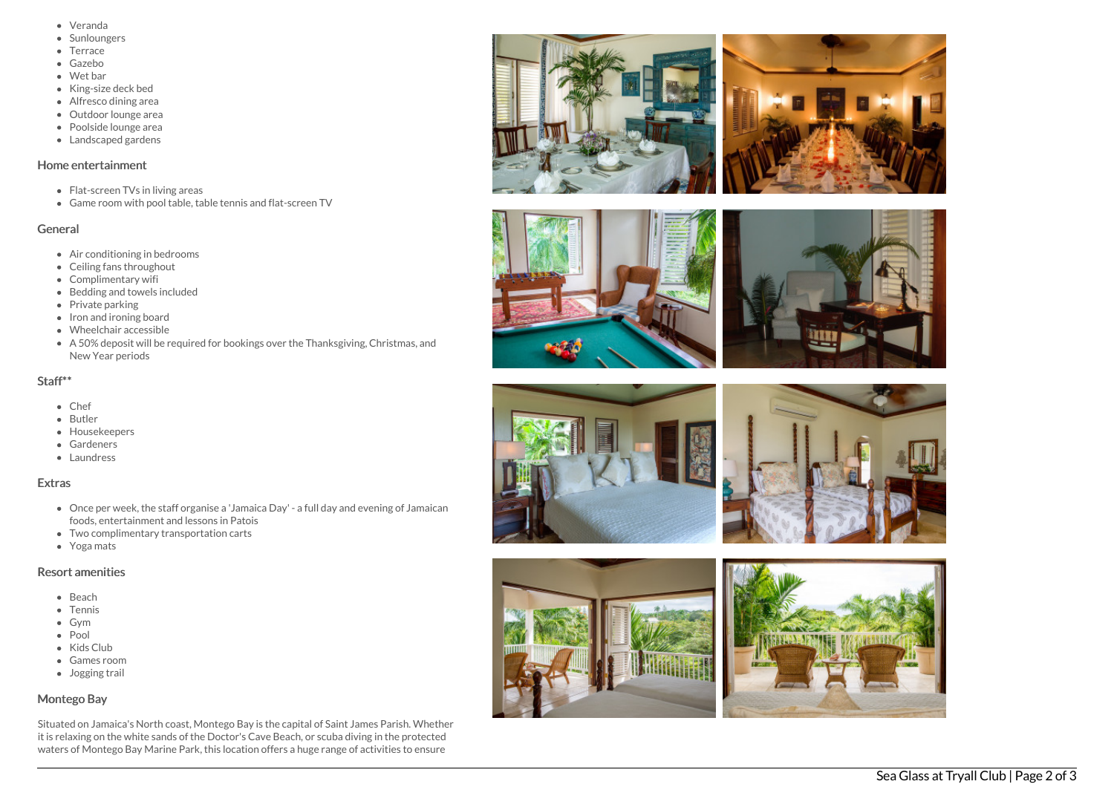- Veranda
- **Sunloungers**
- Terrace
- G a z e b o
- Wet bar
- Kin g siz e d e c k b e d
- Alfresco dining area
- Outdoor lounge area
- Poolside lounge area
- Landscaped gardens

## Home entertainment

- Flat-screen TVs in living areas
- Game room with pool table, table tennis and flat-screen TV

## General

- Air conditioning in bedrooms
- Ceiling fans throughout
- Complimentary wifi
- Bedding and towels in clu d e d
- Private parking
- Iron and ironing board
- W h e elc h air a c c e s sible
- A 50% deposit will be required for bookings over the Thanksgiving, Christmas, and New Year periods

## Staff\*\*

- C h e f
- **Butler**
- **Housekeepers**
- **Gardeners**
- Laundress

# **Extras**

- Once per week, the staff organise a 'Jamaica Day' a full day and evening of Jamaican foods, entertainment and lessons in Patois
- Two complimentary transportation carts
- Yoga mats

## Resort amenities

- B e a c h
- Tennis
- G y m
- Pool
- Kids Clu b
- Games room
- Jogging trail

# Montego Bay

Situated on Jamaica's North coast, Montego Bay is the capital of Saint James Parish. Whether it is relaxing on the white sands of the Doctor's Cave Beach, or scuba diving in the protected waters of Montego Bay Marine Park, this location offers a huge range of activities to ensure